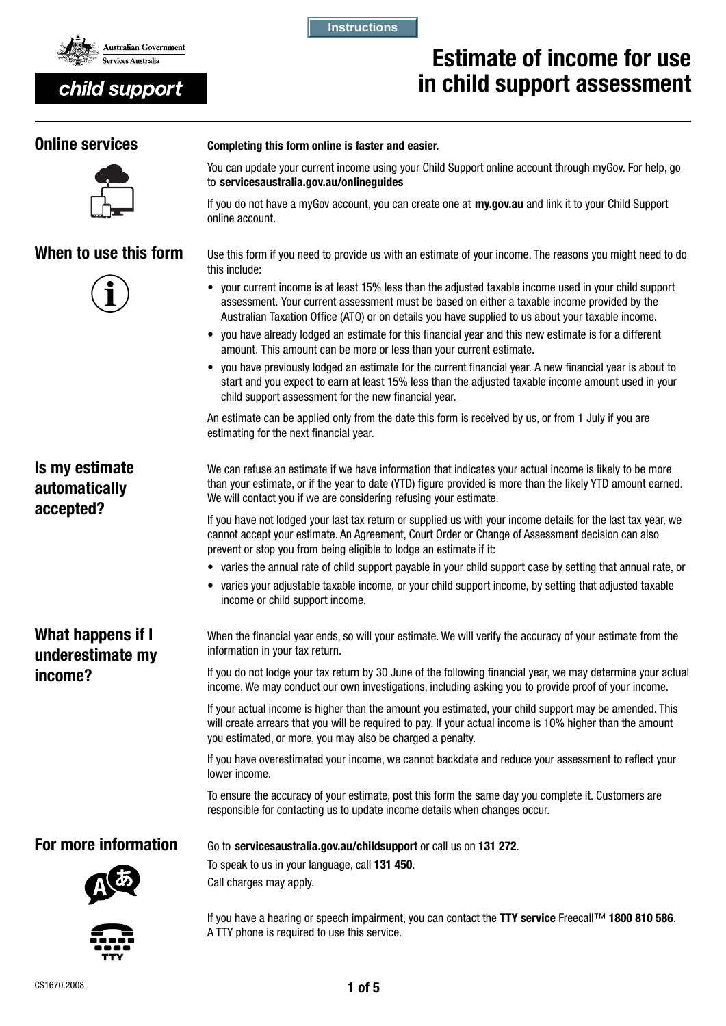

# child support

#### **Instructions**

to servicesaustralia.gov.au/onlinequides

online account.

# Estimate of income for use in child support assessment

# **Online services** Completing this form online is faster and easier.





When to use this form Use this form if you need to provide us with an estimate of your income. The reasons you might need to do this include:

You can update your current income using your Child Support online account through myGov. For help, go

If you do not have a myGov account, you can create one at my.gov.au and link it to your Child Support

- your current income is at least 15% less than the adjusted taxable income used in your child support assessment. Your current assessment must be based on either a taxable income provided by the Australian Taxation Office (ATO) or on details you have supplied to us about your taxable income.
- you have already lodged an estimate for this financial year and this new estimate is for a different amount. This amount can be more or less than your current estimate.
- you have previously lodged an estimate for the current financial year. A new financial year is about to start and you expect to earn at least 15% less than the adjusted taxable income amount used in your child support assessment for the new financial year.

An estimate can be applied only from the date this form is received by us, or from 1 July if you are estimating for the next financial year.

Is my estimate automatically accepted?

We can refuse an estimate if we have information that indicates your actual income is likely to be more than your estimate, or if the year to date (YTD) figure provided is more than the likely YTD amount earned. We will contact you if we are considering refusing your estimate.

If you have not lodged your last tax return or supplied us with your income details for the last tax year, we cannot accept your estimate. An Agreement, Court Order or Change of Assessment decision can also prevent or stop you from being eligible to lodge an estimate if it:

- varies the annual rate of child support payable in your child support case by setting that annual rate, or
- varies your adjustable taxable income, or your child support income, by setting that adjusted taxable income or child support income.

What happens if I underestimate my income?

When the financial year ends, so will your estimate. We will verify the accuracy of your estimate from the information in your tax return.

If you do not lodge your tax return by 30 June of the following financial year, we may determine your actual income. We may conduct our own investigations, including asking you to provide proof of your income.

If your actual income is higher than the amount you estimated, your child support may be amended. This will create arrears that you will be required to pay. If your actual income is 10% higher than the amount you estimated, or more, you may also be charged a penalty.

If you have overestimated your income, we cannot backdate and reduce your assessment to reflect your lower income.

To ensure the accuracy of your estimate, post this form the same day you complete it. Customers are responsible for contacting us to update income details when changes occur.

For more information Go to servicesaustralia.gov.au/childsupport or call us on 131 272.



To speak to us in your language, call 131 450. Call charges may apply.

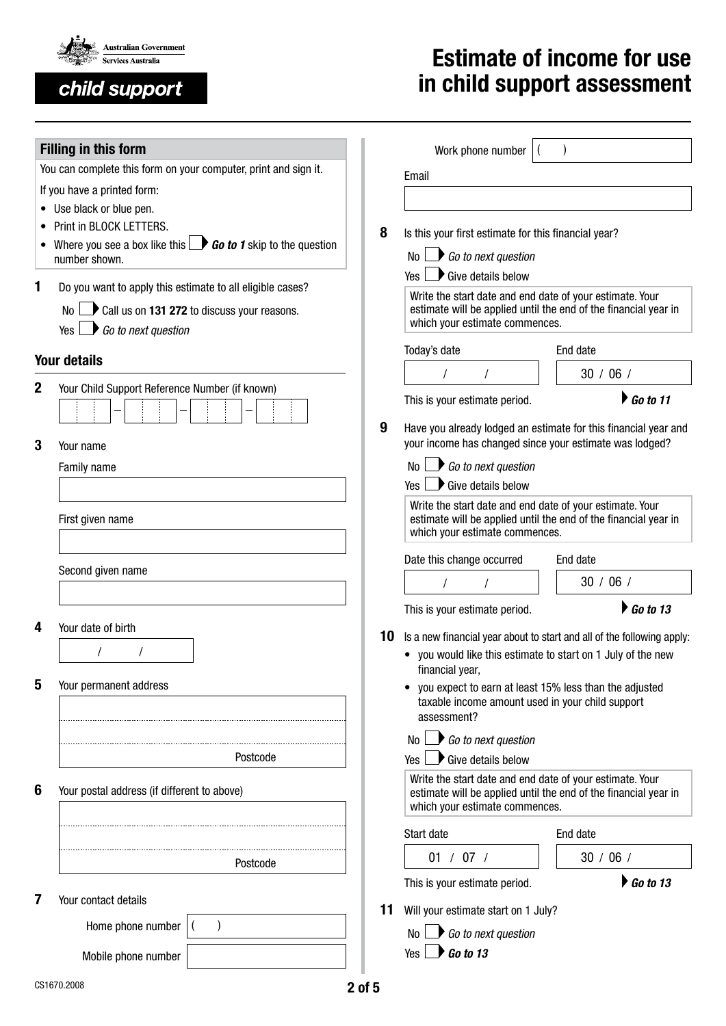

child support

# Estimate of income for use in child support assessment

|                                                                | <b>Filling in this form</b>                                                               | Work phone number |                                                                                                                                        |                                                          |  |  |  |  |
|----------------------------------------------------------------|-------------------------------------------------------------------------------------------|-------------------|----------------------------------------------------------------------------------------------------------------------------------------|----------------------------------------------------------|--|--|--|--|
|                                                                | You can complete this form on your computer, print and sign it.                           |                   | Email                                                                                                                                  |                                                          |  |  |  |  |
|                                                                | If you have a printed form:                                                               |                   |                                                                                                                                        |                                                          |  |  |  |  |
|                                                                | • Use black or blue pen.                                                                  |                   |                                                                                                                                        |                                                          |  |  |  |  |
|                                                                | Print in BLOCK LETTERS.                                                                   | 8                 | Is this your first estimate for this financial year?                                                                                   |                                                          |  |  |  |  |
|                                                                | Where you see a box like this $\Box$ <b>Go to 1</b> skip to the question<br>number shown. |                   | $\bigcirc$ Go to next question<br>No l                                                                                                 |                                                          |  |  |  |  |
|                                                                |                                                                                           |                   | $\blacktriangleright$ Give details below<br>Yes I                                                                                      |                                                          |  |  |  |  |
| 1                                                              | Do you want to apply this estimate to all eligible cases?                                 |                   |                                                                                                                                        | Write the start date and end date of your estimate. Your |  |  |  |  |
| Call us on 131 272 to discuss your reasons.<br>No <sub>l</sub> |                                                                                           |                   | estimate will be applied until the end of the financial year in                                                                        |                                                          |  |  |  |  |
|                                                                | $\rightarrow$ Go to next question<br>Yes                                                  |                   | which your estimate commences.                                                                                                         |                                                          |  |  |  |  |
|                                                                | <b>Your details</b>                                                                       |                   | Today's date                                                                                                                           | End date                                                 |  |  |  |  |
| Your Child Support Reference Number (if known)<br>2            |                                                                                           |                   |                                                                                                                                        | 30 / 06 /                                                |  |  |  |  |
|                                                                |                                                                                           |                   | $\triangleright$ Go to 11<br>This is your estimate period.                                                                             |                                                          |  |  |  |  |
|                                                                |                                                                                           | 9                 | Have you already lodged an estimate for this financial year and                                                                        |                                                          |  |  |  |  |
| 3                                                              | Your name                                                                                 |                   | your income has changed since your estimate was lodged?                                                                                |                                                          |  |  |  |  |
|                                                                | Family name                                                                               |                   | $\bigcirc$ Go to next question<br>No l                                                                                                 |                                                          |  |  |  |  |
|                                                                |                                                                                           |                   | $\rightarrow$ Give details below<br>Yes I                                                                                              |                                                          |  |  |  |  |
|                                                                | First given name                                                                          |                   | Write the start date and end date of your estimate. Your<br>estimate will be applied until the end of the financial year in            |                                                          |  |  |  |  |
|                                                                |                                                                                           |                   | which your estimate commences.                                                                                                         |                                                          |  |  |  |  |
|                                                                |                                                                                           |                   | Date this change occurred<br>End date                                                                                                  |                                                          |  |  |  |  |
|                                                                | Second given name                                                                         |                   |                                                                                                                                        | 30 / 06 /                                                |  |  |  |  |
|                                                                |                                                                                           |                   | This is your estimate period.                                                                                                          | $\triangleright$ Go to 13                                |  |  |  |  |
| 4                                                              | Your date of birth                                                                        |                   |                                                                                                                                        |                                                          |  |  |  |  |
|                                                                |                                                                                           | 10                | Is a new financial year about to start and all of the following apply:<br>• you would like this estimate to start on 1 July of the new |                                                          |  |  |  |  |
|                                                                |                                                                                           |                   | financial year,                                                                                                                        |                                                          |  |  |  |  |
| 5                                                              | Your permanent address                                                                    |                   | you expect to earn at least 15% less than the adjusted                                                                                 |                                                          |  |  |  |  |
|                                                                |                                                                                           |                   | taxable income amount used in your child support<br>assessment?                                                                        |                                                          |  |  |  |  |
|                                                                |                                                                                           |                   | No $\Box$ Go to next question                                                                                                          |                                                          |  |  |  |  |
|                                                                | Postcode                                                                                  |                   | Give details below<br>Yes I                                                                                                            |                                                          |  |  |  |  |
|                                                                |                                                                                           |                   | Write the start date and end date of your estimate. Your                                                                               |                                                          |  |  |  |  |
| 6                                                              | Your postal address (if different to above)                                               |                   | estimate will be applied until the end of the financial year in<br>which your estimate commences.                                      |                                                          |  |  |  |  |
|                                                                |                                                                                           |                   | Start date                                                                                                                             | End date                                                 |  |  |  |  |
|                                                                |                                                                                           |                   |                                                                                                                                        |                                                          |  |  |  |  |
|                                                                | Postcode                                                                                  |                   | 01 / 07 /                                                                                                                              | 30 / 06 /                                                |  |  |  |  |
| 7                                                              | Your contact details                                                                      |                   | This is your estimate period.                                                                                                          | $\triangleright$ Go to 13                                |  |  |  |  |
|                                                                |                                                                                           | 11                | Will your estimate start on 1 July?                                                                                                    |                                                          |  |  |  |  |
|                                                                | Home phone number                                                                         |                   | No $\Box$ Go to next question                                                                                                          |                                                          |  |  |  |  |
|                                                                | Mobile phone number                                                                       |                   | $\bigcup$ Go to 13<br>Yes L                                                                                                            |                                                          |  |  |  |  |
|                                                                | CS1670.2008                                                                               |                   |                                                                                                                                        |                                                          |  |  |  |  |
|                                                                |                                                                                           | 2 of 5            |                                                                                                                                        |                                                          |  |  |  |  |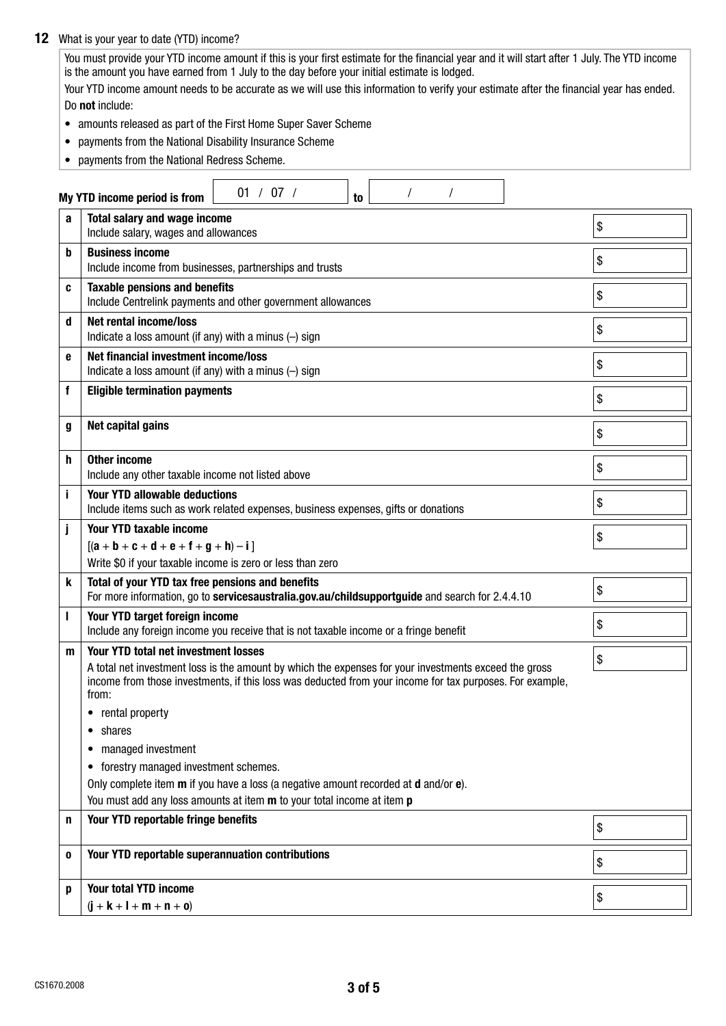### 12 What is your year to date (YTD) income?

You must provide your YTD income amount if this is your first estimate for the financial year and it will start after 1 July. The YTD income is the amount you have earned from 1 July to the day before your initial estimate is lodged.

Your YTD income amount needs to be accurate as we will use this information to verify your estimate after the financial year has ended. Do not include:

- amounts released as part of the First Home Super Saver Scheme
- payments from the National Disability Insurance Scheme
- payments from the National Redress Scheme.

|              | 01 / 07 /<br>My YTD income period is from<br>to                                                                                                                                                                                                                           |    |  |  |  |  |  |  |  |  |  |  |
|--------------|---------------------------------------------------------------------------------------------------------------------------------------------------------------------------------------------------------------------------------------------------------------------------|----|--|--|--|--|--|--|--|--|--|--|
| a            | <b>Total salary and wage income</b><br>Include salary, wages and allowances                                                                                                                                                                                               | \$ |  |  |  |  |  |  |  |  |  |  |
| b            | <b>Business income</b><br>Include income from businesses, partnerships and trusts                                                                                                                                                                                         | \$ |  |  |  |  |  |  |  |  |  |  |
| C            | <b>Taxable pensions and benefits</b><br>Include Centrelink payments and other government allowances                                                                                                                                                                       | \$ |  |  |  |  |  |  |  |  |  |  |
| d            | <b>Net rental income/loss</b><br>Indicate a loss amount (if any) with a minus $(-)$ sign                                                                                                                                                                                  | \$ |  |  |  |  |  |  |  |  |  |  |
| е            | Net financial investment income/loss<br>Indicate a loss amount (if any) with a minus $(-)$ sign                                                                                                                                                                           | \$ |  |  |  |  |  |  |  |  |  |  |
| f            | <b>Eligible termination payments</b>                                                                                                                                                                                                                                      | \$ |  |  |  |  |  |  |  |  |  |  |
| g            | Net capital gains                                                                                                                                                                                                                                                         | \$ |  |  |  |  |  |  |  |  |  |  |
| h            | <b>Other income</b><br>Include any other taxable income not listed above                                                                                                                                                                                                  | \$ |  |  |  |  |  |  |  |  |  |  |
| j            | <b>Your YTD allowable deductions</b><br>Include items such as work related expenses, business expenses, gifts or donations                                                                                                                                                | \$ |  |  |  |  |  |  |  |  |  |  |
| j            | Your YTD taxable income<br>$[(a + b + c + d + e + f + g + h) - i]$                                                                                                                                                                                                        | \$ |  |  |  |  |  |  |  |  |  |  |
|              | Write \$0 if your taxable income is zero or less than zero                                                                                                                                                                                                                |    |  |  |  |  |  |  |  |  |  |  |
| k            | Total of your YTD tax free pensions and benefits<br>For more information, go to servicesaustralia.gov.au/childsupportguide and search for 2.4.4.10                                                                                                                        | \$ |  |  |  |  |  |  |  |  |  |  |
| $\mathbf{I}$ | Your YTD target foreign income<br>Include any foreign income you receive that is not taxable income or a fringe benefit                                                                                                                                                   | \$ |  |  |  |  |  |  |  |  |  |  |
| m            | <b>Your YTD total net investment losses</b><br>A total net investment loss is the amount by which the expenses for your investments exceed the gross<br>income from those investments, if this loss was deducted from your income for tax purposes. For example,<br>from: | \$ |  |  |  |  |  |  |  |  |  |  |
|              | • rental property                                                                                                                                                                                                                                                         |    |  |  |  |  |  |  |  |  |  |  |
|              | shares<br>$\bullet$                                                                                                                                                                                                                                                       |    |  |  |  |  |  |  |  |  |  |  |
|              | managed investment<br>٠                                                                                                                                                                                                                                                   |    |  |  |  |  |  |  |  |  |  |  |
|              | forestry managed investment schemes.<br>$\bullet$                                                                                                                                                                                                                         |    |  |  |  |  |  |  |  |  |  |  |
|              | Only complete item <b>m</b> if you have a loss (a negative amount recorded at <b>d</b> and/or <b>e</b> ).                                                                                                                                                                 |    |  |  |  |  |  |  |  |  |  |  |
| n            | You must add any loss amounts at item m to your total income at item p<br>Your YTD reportable fringe benefits                                                                                                                                                             |    |  |  |  |  |  |  |  |  |  |  |
|              |                                                                                                                                                                                                                                                                           | \$ |  |  |  |  |  |  |  |  |  |  |
| 0            | Your YTD reportable superannuation contributions                                                                                                                                                                                                                          | \$ |  |  |  |  |  |  |  |  |  |  |
| p            | <b>Your total YTD income</b>                                                                                                                                                                                                                                              | \$ |  |  |  |  |  |  |  |  |  |  |
|              | $(j + k + l + m + n + o)$                                                                                                                                                                                                                                                 |    |  |  |  |  |  |  |  |  |  |  |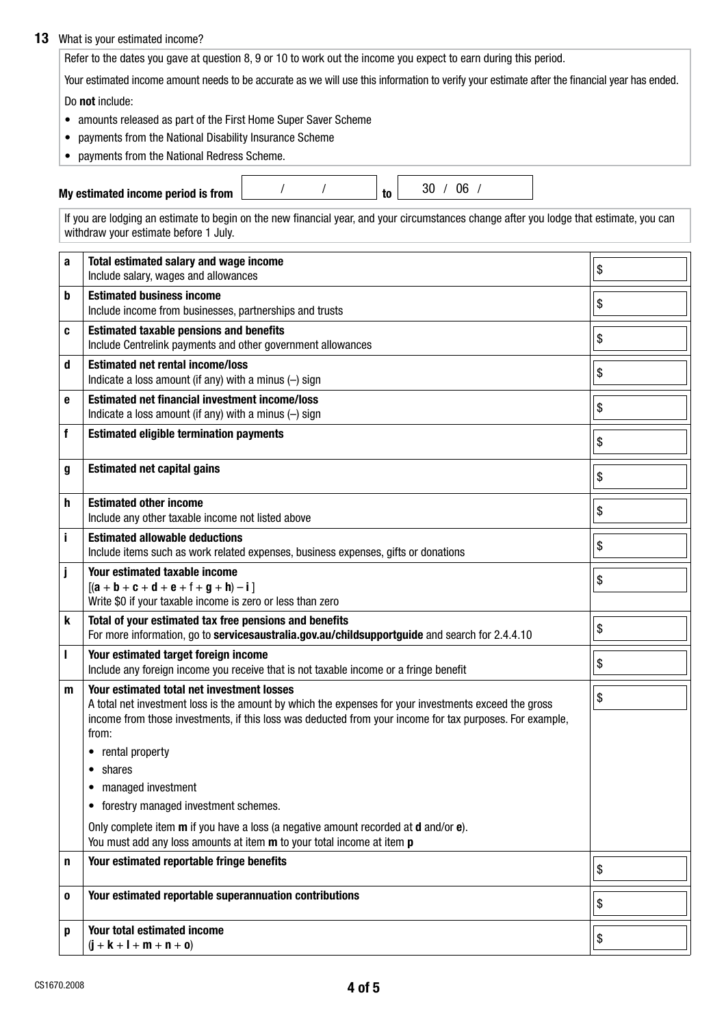### 13 What is your estimated income?

Refer to the dates you gave at question 8, 9 or 10 to work out the income you expect to earn during this period.

Your estimated income amount needs to be accurate as we will use this information to verify your estimate after the financial year has ended.

Do not include:

- amounts released as part of the First Home Super Saver Scheme
- payments from the National Disability Insurance Scheme
- payments from the National Redress Scheme.

My estimated income period is from  $\frac{1}{2}$  /  $\frac{1}{2}$  to  $\frac{30}{100}$  / 06 /

If you are lodging an estimate to begin on the new financial year, and your circumstances change after you lodge that estimate, you can withdraw your estimate before 1 July.

| a | Total estimated salary and wage income<br>Include salary, wages and allowances                                                                                                                                                                                           | \$ |
|---|--------------------------------------------------------------------------------------------------------------------------------------------------------------------------------------------------------------------------------------------------------------------------|----|
| b | <b>Estimated business income</b><br>Include income from businesses, partnerships and trusts                                                                                                                                                                              | \$ |
| C | <b>Estimated taxable pensions and benefits</b><br>Include Centrelink payments and other government allowances                                                                                                                                                            | \$ |
| d | <b>Estimated net rental income/loss</b><br>Indicate a loss amount (if any) with a minus $(-)$ sign                                                                                                                                                                       | \$ |
| e | <b>Estimated net financial investment income/loss</b><br>Indicate a loss amount (if any) with a minus $(-)$ sign                                                                                                                                                         | \$ |
| f | <b>Estimated eligible termination payments</b>                                                                                                                                                                                                                           | \$ |
| g | <b>Estimated net capital gains</b>                                                                                                                                                                                                                                       | \$ |
| h | <b>Estimated other income</b><br>Include any other taxable income not listed above                                                                                                                                                                                       | \$ |
| i | <b>Estimated allowable deductions</b><br>Include items such as work related expenses, business expenses, gifts or donations                                                                                                                                              | \$ |
| j | Your estimated taxable income<br>$[(a + b + c + d + e + f + g + h) - i]$<br>Write \$0 if your taxable income is zero or less than zero                                                                                                                                   | \$ |
| k | Total of your estimated tax free pensions and benefits<br>For more information, go to servicesaustralia.gov.au/childsupportguide and search for 2.4.4.10                                                                                                                 | \$ |
| ı | Your estimated target foreign income<br>Include any foreign income you receive that is not taxable income or a fringe benefit                                                                                                                                            | \$ |
| m | Your estimated total net investment losses<br>A total net investment loss is the amount by which the expenses for your investments exceed the gross<br>income from those investments, if this loss was deducted from your income for tax purposes. For example,<br>from: | \$ |
|   | rental property<br>٠                                                                                                                                                                                                                                                     |    |
|   | shares<br>$\bullet$<br>• managed investment                                                                                                                                                                                                                              |    |
|   | forestry managed investment schemes.                                                                                                                                                                                                                                     |    |
|   | Only complete item <b>m</b> if you have a loss (a negative amount recorded at <b>d</b> and/or <b>e</b> ).<br>You must add any loss amounts at item m to your total income at item p                                                                                      |    |
| n | Your estimated reportable fringe benefits                                                                                                                                                                                                                                | \$ |
| 0 | Your estimated reportable superannuation contributions                                                                                                                                                                                                                   | \$ |
| p | Your total estimated income<br>$(i + k + l + m + n + o)$                                                                                                                                                                                                                 | \$ |